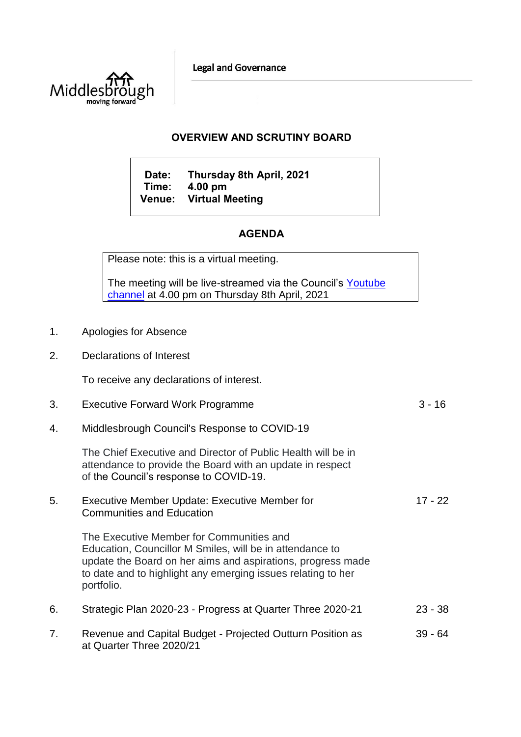**Legal and Governance** 



## **OVERVIEW AND SCRUTINY BOARD**

**Date: Thursday 8th April, 2021 Time: 4.00 pm Venue: Virtual Meeting**

# **AGENDA**

Please note: this is a virtual meeting.

The meeting will be live-streamed via the Council's Youtube [channel](https://www.youtube.com/user/middlesboroughcouncil) at 4.00 pm on Thursday 8th April, 2021

- 1. Apologies for Absence
- 2. Declarations of Interest

To receive any declarations of interest.

3. Executive Forward Work Programme 3 - 16 4. Middlesbrough Council's Response to COVID-19 The Chief Executive and Director of Public Health will be in attendance to provide the Board with an update in respect of the Council's response to COVID-19. 5. Executive Member Update: Executive Member for Communities and Education The Executive Member for Communities and Education, Councillor M Smiles, will be in attendance to update the Board on her aims and aspirations, progress made to date and to highlight any emerging issues relating to her portfolio. 17 - 22 6. Strategic Plan 2020-23 - Progress at Quarter Three 2020-21 23 - 38 7. Revenue and Capital Budget - Projected Outturn Position as at Quarter Three 2020/21 39 - 64